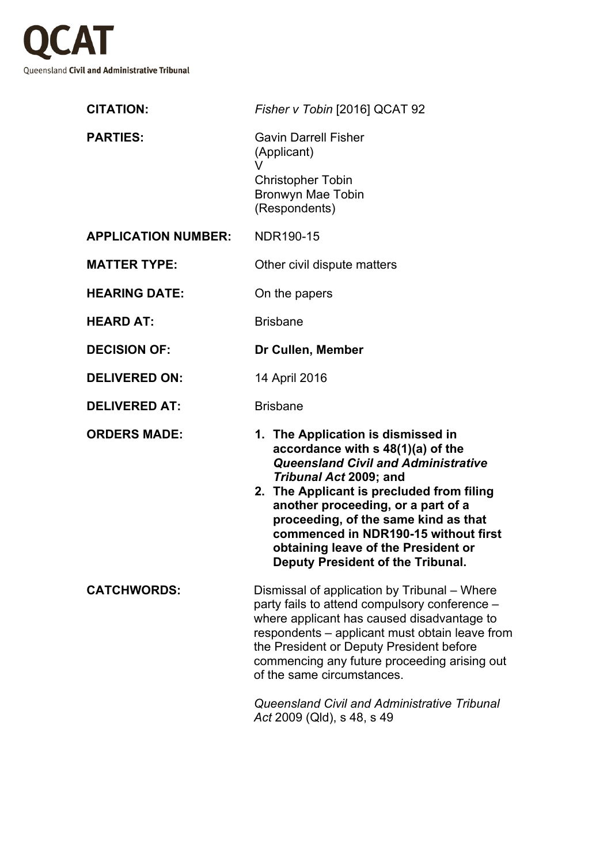

| <b>CITATION:</b>           | Fisher v Tobin [2016] QCAT 92                                                                                                                                                                                                                                                                                                                                                                  |
|----------------------------|------------------------------------------------------------------------------------------------------------------------------------------------------------------------------------------------------------------------------------------------------------------------------------------------------------------------------------------------------------------------------------------------|
| <b>PARTIES:</b>            | <b>Gavin Darrell Fisher</b><br>(Applicant)<br>V                                                                                                                                                                                                                                                                                                                                                |
|                            | <b>Christopher Tobin</b><br>Bronwyn Mae Tobin<br>(Respondents)                                                                                                                                                                                                                                                                                                                                 |
| <b>APPLICATION NUMBER:</b> | NDR190-15                                                                                                                                                                                                                                                                                                                                                                                      |
| <b>MATTER TYPE:</b>        | Other civil dispute matters                                                                                                                                                                                                                                                                                                                                                                    |
| <b>HEARING DATE:</b>       | On the papers                                                                                                                                                                                                                                                                                                                                                                                  |
| <b>HEARD AT:</b>           | <b>Brisbane</b>                                                                                                                                                                                                                                                                                                                                                                                |
| <b>DECISION OF:</b>        | Dr Cullen, Member                                                                                                                                                                                                                                                                                                                                                                              |
| <b>DELIVERED ON:</b>       | 14 April 2016                                                                                                                                                                                                                                                                                                                                                                                  |
| <b>DELIVERED AT:</b>       | <b>Brisbane</b>                                                                                                                                                                                                                                                                                                                                                                                |
| <b>ORDERS MADE:</b>        | 1. The Application is dismissed in<br>accordance with s 48(1)(a) of the<br><b>Queensland Civil and Administrative</b><br>Tribunal Act 2009; and<br>2. The Applicant is precluded from filing<br>another proceeding, or a part of a<br>proceeding, of the same kind as that<br>commenced in NDR190-15 without first<br>obtaining leave of the President or<br>Deputy President of the Tribunal. |
| <b>CATCHWORDS:</b>         | Dismissal of application by Tribunal – Where<br>party fails to attend compulsory conference -<br>where applicant has caused disadvantage to<br>respondents – applicant must obtain leave from<br>the President or Deputy President before<br>commencing any future proceeding arising out<br>of the same circumstances.<br>Queensland Civil and Administrative Tribunal                        |
|                            | Act 2009 (Qld), s 48, s 49                                                                                                                                                                                                                                                                                                                                                                     |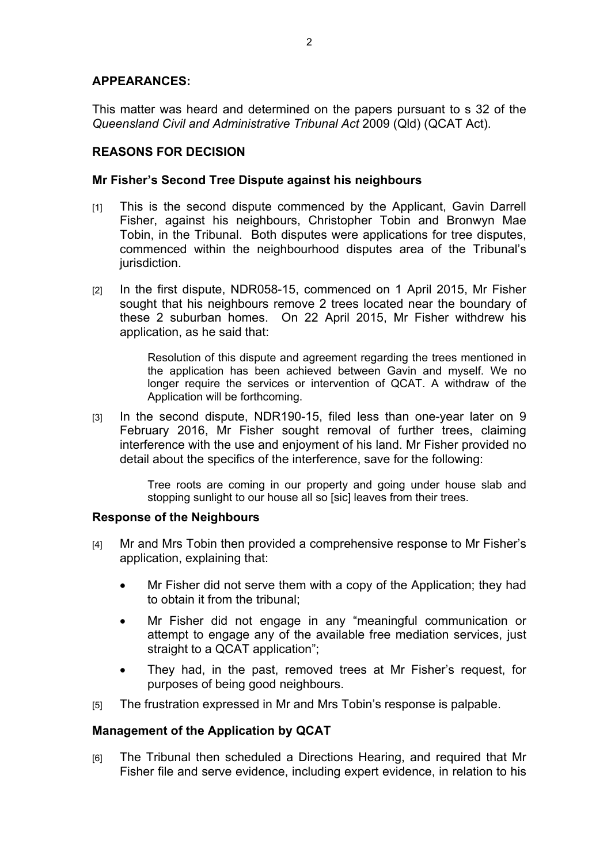## **APPEARANCES:**

This matter was heard and determined on the papers pursuant to s 32 of the *Queensland Civil and Administrative Tribunal Act* 2009 (Qld) (QCAT Act).

# **REASONS FOR DECISION**

## **Mr Fisher's Second Tree Dispute against his neighbours**

- [1] This is the second dispute commenced by the Applicant, Gavin Darrell Fisher, against his neighbours, Christopher Tobin and Bronwyn Mae Tobin, in the Tribunal. Both disputes were applications for tree disputes, commenced within the neighbourhood disputes area of the Tribunal's jurisdiction.
- [2] In the first dispute, NDR058-15, commenced on 1 April 2015, Mr Fisher sought that his neighbours remove 2 trees located near the boundary of these 2 suburban homes. On 22 April 2015, Mr Fisher withdrew his application, as he said that:

Resolution of this dispute and agreement regarding the trees mentioned in the application has been achieved between Gavin and myself. We no longer require the services or intervention of QCAT. A withdraw of the Application will be forthcoming.

[3] In the second dispute, NDR190-15, filed less than one-year later on 9 February 2016, Mr Fisher sought removal of further trees, claiming interference with the use and enjoyment of his land. Mr Fisher provided no detail about the specifics of the interference, save for the following:

> Tree roots are coming in our property and going under house slab and stopping sunlight to our house all so [sic] leaves from their trees.

## **Response of the Neighbours**

- [4] Mr and Mrs Tobin then provided a comprehensive response to Mr Fisher's application, explaining that:
	- Mr Fisher did not serve them with a copy of the Application; they had to obtain it from the tribunal;
	- Mr Fisher did not engage in any "meaningful communication or attempt to engage any of the available free mediation services, just straight to a QCAT application";
	- They had, in the past, removed trees at Mr Fisher's request, for purposes of being good neighbours.
- [5] The frustration expressed in Mr and Mrs Tobin's response is palpable.

# **Management of the Application by QCAT**

[6] The Tribunal then scheduled a Directions Hearing, and required that Mr Fisher file and serve evidence, including expert evidence, in relation to his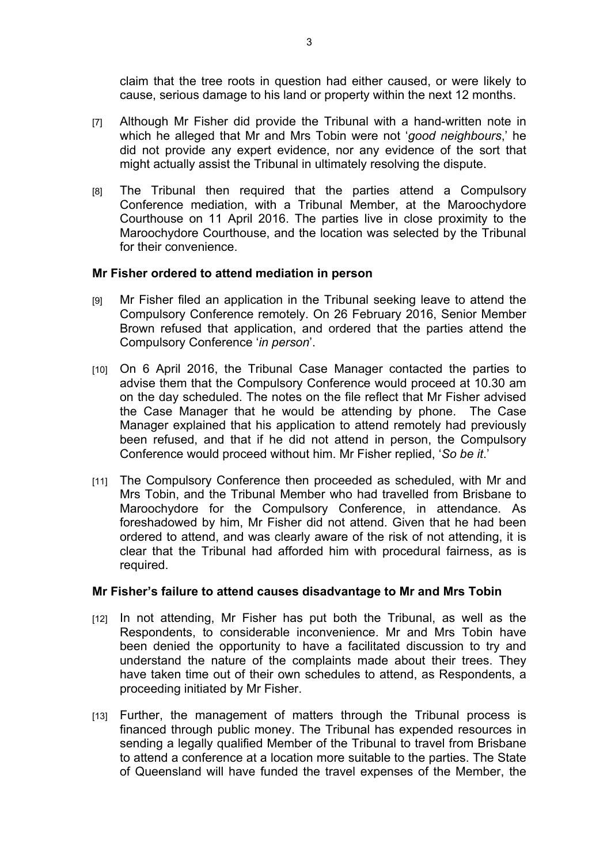claim that the tree roots in question had either caused, or were likely to cause, serious damage to his land or property within the next 12 months.

- [7] Although Mr Fisher did provide the Tribunal with a hand-written note in which he alleged that Mr and Mrs Tobin were not '*good neighbours*,' he did not provide any expert evidence, nor any evidence of the sort that might actually assist the Tribunal in ultimately resolving the dispute.
- [8] The Tribunal then required that the parties attend a Compulsory Conference mediation, with a Tribunal Member, at the Maroochydore Courthouse on 11 April 2016. The parties live in close proximity to the Maroochydore Courthouse, and the location was selected by the Tribunal for their convenience.

### **Mr Fisher ordered to attend mediation in person**

- [9] Mr Fisher filed an application in the Tribunal seeking leave to attend the Compulsory Conference remotely. On 26 February 2016, Senior Member Brown refused that application, and ordered that the parties attend the Compulsory Conference '*in person*'.
- [10] On 6 April 2016, the Tribunal Case Manager contacted the parties to advise them that the Compulsory Conference would proceed at 10.30 am on the day scheduled. The notes on the file reflect that Mr Fisher advised the Case Manager that he would be attending by phone. The Case Manager explained that his application to attend remotely had previously been refused, and that if he did not attend in person, the Compulsory Conference would proceed without him. Mr Fisher replied, '*So be it*.'
- [11] The Compulsory Conference then proceeded as scheduled, with Mr and Mrs Tobin, and the Tribunal Member who had travelled from Brisbane to Maroochydore for the Compulsory Conference, in attendance. As foreshadowed by him, Mr Fisher did not attend. Given that he had been ordered to attend, and was clearly aware of the risk of not attending, it is clear that the Tribunal had afforded him with procedural fairness, as is required.

#### **Mr Fisher's failure to attend causes disadvantage to Mr and Mrs Tobin**

- [12] In not attending, Mr Fisher has put both the Tribunal, as well as the Respondents, to considerable inconvenience. Mr and Mrs Tobin have been denied the opportunity to have a facilitated discussion to try and understand the nature of the complaints made about their trees. They have taken time out of their own schedules to attend, as Respondents, a proceeding initiated by Mr Fisher.
- [13] Further, the management of matters through the Tribunal process is financed through public money. The Tribunal has expended resources in sending a legally qualified Member of the Tribunal to travel from Brisbane to attend a conference at a location more suitable to the parties. The State of Queensland will have funded the travel expenses of the Member, the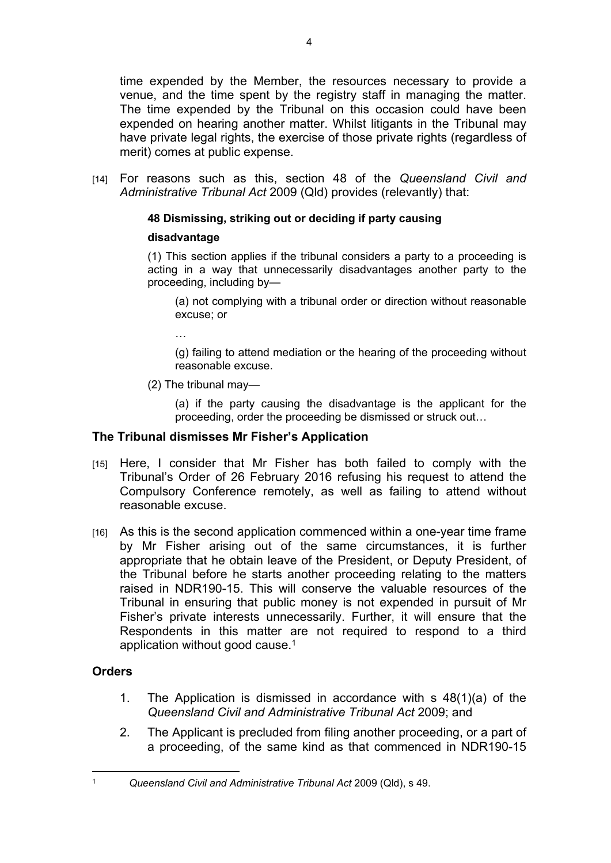time expended by the Member, the resources necessary to provide a venue, and the time spent by the registry staff in managing the matter. The time expended by the Tribunal on this occasion could have been expended on hearing another matter. Whilst litigants in the Tribunal may have private legal rights, the exercise of those private rights (regardless of merit) comes at public expense.

[14] For reasons such as this, section 48 of the *Queensland Civil and Administrative Tribunal Act* 2009 (Qld) provides (relevantly) that:

## **48 Dismissing, striking out or deciding if party causing**

### **disadvantage**

(1) This section applies if the tribunal considers a party to a proceeding is acting in a way that unnecessarily disadvantages another party to the proceeding, including by—

(a) not complying with a tribunal order or direction without reasonable excuse; or

…

(g) failing to attend mediation or the hearing of the proceeding without reasonable excuse.

(2) The tribunal may—

(a) if the party causing the disadvantage is the applicant for the proceeding, order the proceeding be dismissed or struck out…

#### **The Tribunal dismisses Mr Fisher's Application**

- [15] Here, I consider that Mr Fisher has both failed to comply with the Tribunal's Order of 26 February 2016 refusing his request to attend the Compulsory Conference remotely, as well as failing to attend without reasonable excuse.
- [16] As this is the second application commenced within a one-year time frame by Mr Fisher arising out of the same circumstances, it is further appropriate that he obtain leave of the President, or Deputy President, of the Tribunal before he starts another proceeding relating to the matters raised in NDR190-15. This will conserve the valuable resources of the Tribunal in ensuring that public money is not expended in pursuit of Mr Fisher's private interests unnecessarily. Further, it will ensure that the Respondents in this matter are not required to respond to a third application without good cause.<sup>1</sup>

## **Orders**

- 1. The Application is dismissed in accordance with s 48(1)(a) of the *Queensland Civil and Administrative Tribunal Act* 2009; and
- 2. The Applicant is precluded from filing another proceeding, or a part of a proceeding, of the same kind as that commenced in NDR190-15

<sup>1</sup> *Queensland Civil and Administrative Tribunal Act* 2009 (Qld), s 49.